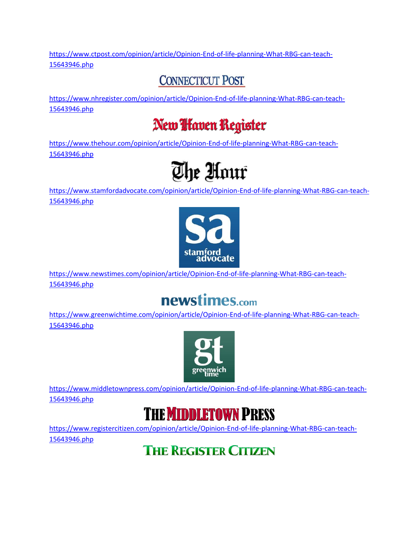[https://www.ctpost.com/opinion/article/Opinion-End-of-life-planning-What-RBG-can-teach-](https://www.ctpost.com/opinion/article/Opinion-End-of-life-planning-What-RBG-can-teach-15643946.php)[15643946.php](https://www.ctpost.com/opinion/article/Opinion-End-of-life-planning-What-RBG-can-teach-15643946.php)

#### **CONNECTICUT POST**

[https://www.nhregister.com/opinion/article/Opinion-End-of-life-planning-What-RBG-can-teach-](https://www.nhregister.com/opinion/article/Opinion-End-of-life-planning-What-RBG-can-teach-15643946.php)[15643946.php](https://www.nhregister.com/opinion/article/Opinion-End-of-life-planning-What-RBG-can-teach-15643946.php)

## New *Haven* Register

[https://www.thehour.com/opinion/article/Opinion-End-of-life-planning-What-RBG-can-teach-](https://www.thehour.com/opinion/article/Opinion-End-of-life-planning-What-RBG-can-teach-15643946.php)[15643946.php](https://www.thehour.com/opinion/article/Opinion-End-of-life-planning-What-RBG-can-teach-15643946.php)

# The Hour

[https://www.stamfordadvocate.com/opinion/article/Opinion-End-of-life-planning-What-RBG-can-teach-](https://www.stamfordadvocate.com/opinion/article/Opinion-End-of-life-planning-What-RBG-can-teach-15643946.php)[15643946.php](https://www.stamfordadvocate.com/opinion/article/Opinion-End-of-life-planning-What-RBG-can-teach-15643946.php)



[https://www.newstimes.com/opinion/article/Opinion-End-of-life-planning-What-RBG-can-teach-](https://www.newstimes.com/opinion/article/Opinion-End-of-life-planning-What-RBG-can-teach-15643946.php)[15643946.php](https://www.newstimes.com/opinion/article/Opinion-End-of-life-planning-What-RBG-can-teach-15643946.php)

# newstimes.com

[https://www.greenwichtime.com/opinion/article/Opinion-End-of-life-planning-What-RBG-can-teach-](https://www.greenwichtime.com/opinion/article/Opinion-End-of-life-planning-What-RBG-can-teach-15643946.php)[15643946.php](https://www.greenwichtime.com/opinion/article/Opinion-End-of-life-planning-What-RBG-can-teach-15643946.php)



[https://www.middletownpress.com/opinion/article/Opinion-End-of-life-planning-What-RBG-can-teach-](https://www.middletownpress.com/opinion/article/Opinion-End-of-life-planning-What-RBG-can-teach-15643946.php)[15643946.php](https://www.middletownpress.com/opinion/article/Opinion-End-of-life-planning-What-RBG-can-teach-15643946.php)



[https://www.registercitizen.com/opinion/article/Opinion-End-of-life-planning-What-RBG-can-teach-](https://www.registercitizen.com/opinion/article/Opinion-End-of-life-planning-What-RBG-can-teach-15643946.php)[15643946.php](https://www.registercitizen.com/opinion/article/Opinion-End-of-life-planning-What-RBG-can-teach-15643946.php)

**THE REGISTER CITIZEN**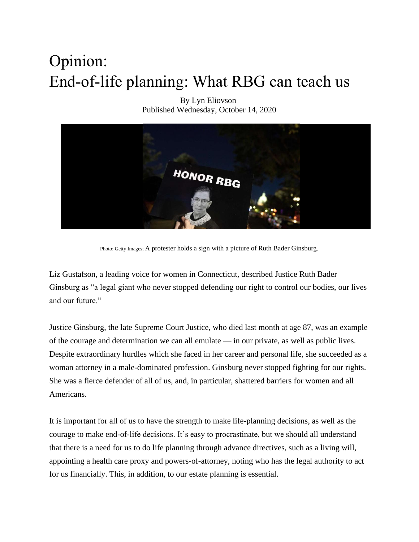# Opinion: End-of-life planning: What RBG can teach us

By Lyn Eliovson Published Wednesday, October 14, 2020



Photo: Getty Images; A protester holds a sign with a picture of Ruth Bader Ginsburg.

Liz Gustafson, a leading voice for women in Connecticut, described Justice Ruth Bader Ginsburg as "a legal giant who never stopped defending our right to control our bodies, our lives and our future."

Justice Ginsburg, the late Supreme Court Justice, who died last month at age 87, was an example of the courage and determination we can all emulate — in our private, as well as public lives. Despite extraordinary hurdles which she faced in her career and personal life, she succeeded as a woman attorney in a male-dominated profession. Ginsburg never stopped fighting for our rights. She was a fierce defender of all of us, and, in particular, shattered barriers for women and all Americans.

It is important for all of us to have the strength to make life-planning decisions, as well as the courage to make end-of-life decisions. It's easy to procrastinate, but we should all understand that there is a need for us to do life planning through advance directives, such as a living will, appointing a health care proxy and powers-of-attorney, noting who has the legal authority to act for us financially. This, in addition, to our estate planning is essential.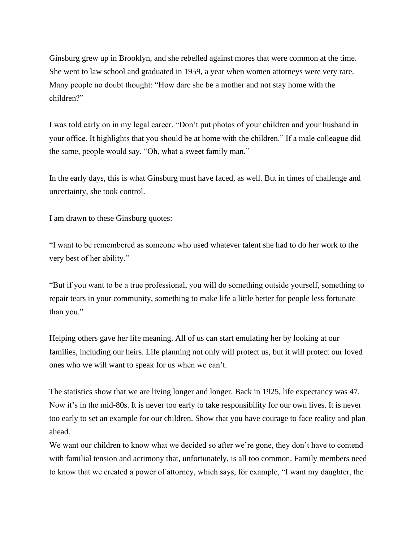Ginsburg grew up in Brooklyn, and she rebelled against mores that were common at the time. She went to law school and graduated in 1959, a year when women attorneys were very rare. Many people no doubt thought: "How dare she be a mother and not stay home with the children?"

I was told early on in my legal career, "Don't put photos of your children and your husband in your office. It highlights that you should be at home with the children." If a male colleague did the same, people would say, "Oh, what a sweet family man."

In the early days, this is what Ginsburg must have faced, as well. But in times of challenge and uncertainty, she took control.

I am drawn to these Ginsburg quotes:

"I want to be remembered as someone who used whatever talent she had to do her work to the very best of her ability."

"But if you want to be a true professional, you will do something outside yourself, something to repair tears in your community, something to make life a little better for people less fortunate than you."

Helping others gave her life meaning. All of us can start emulating her by looking at our families, including our heirs. Life planning not only will protect us, but it will protect our loved ones who we will want to speak for us when we can't.

The statistics show that we are living longer and longer. Back in 1925, life expectancy was 47. Now it's in the mid-80s. It is never too early to take responsibility for our own lives. It is never too early to set an example for our children. Show that you have courage to face reality and plan ahead.

We want our children to know what we decided so after we're gone, they don't have to contend with familial tension and acrimony that, unfortunately, is all too common. Family members need to know that we created a power of attorney, which says, for example, "I want my daughter, the